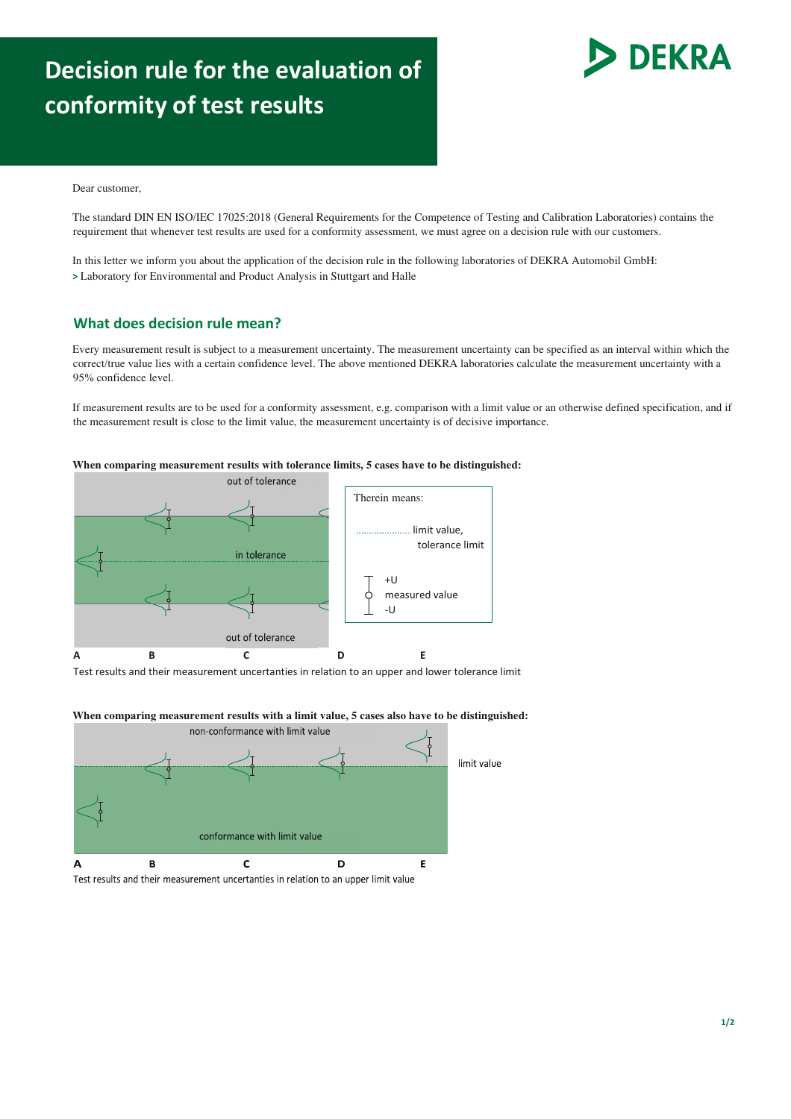## **Decision rule for the evaluation of conformity of test results**



Dear customer,

The standard DIN EN ISO/IEC 17025:2018 (General Requirements for the Competence of Testing and Calibration Laboratories) contains the requirement that whenever test results are used for a conformity assessment, we must agree on a decision rule with our customers.

In this letter we inform you about the application of the decision rule in the following laboratories of DEKRA Automobil GmbH: **>** Laboratory for Environmental and Product Analysis in Stuttgart and Halle

## **What does decision rule mean?**

Every measurement result is subject to a measurement uncertainty. The measurement uncertainty can be specified as an interval within which the correct/true value lies with a certain confidence level. The above mentioned DEKRA laboratories calculate the measurement uncertainty with a 95% confidence level.

If measurement results are to be used for a conformity assessment, e.g. comparison with a limit value or an otherwise defined specification, and if the measurement result is close to the limit value, the measurement uncertainty is of decisive importance.

**When comparing measurement results with tolerance limits, 5 cases have to be distinguished:**



Test results and their measurement uncertanties in relation to an upper and lower tolerance limit